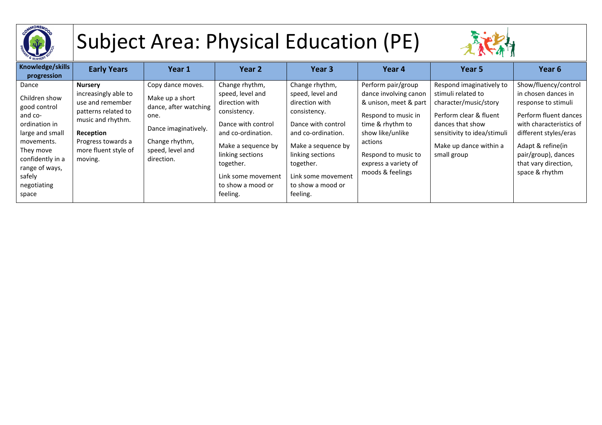

## Subject Area: Physical Education (PE)



| Knowledge/skills<br>progression                                                                                                                                                          | <b>Early Years</b>                                                                                                                                                           | Year 1                                                                                                                                            | Year 2                                                                                                                                                                                                                         | Year <sub>3</sub>                                                                                                                                                                                                              | Year 4                                                                                                                                                                                                            | Year 5                                                                                                                                                                                        | Year 6                                                                                                                                                                                                                                |
|------------------------------------------------------------------------------------------------------------------------------------------------------------------------------------------|------------------------------------------------------------------------------------------------------------------------------------------------------------------------------|---------------------------------------------------------------------------------------------------------------------------------------------------|--------------------------------------------------------------------------------------------------------------------------------------------------------------------------------------------------------------------------------|--------------------------------------------------------------------------------------------------------------------------------------------------------------------------------------------------------------------------------|-------------------------------------------------------------------------------------------------------------------------------------------------------------------------------------------------------------------|-----------------------------------------------------------------------------------------------------------------------------------------------------------------------------------------------|---------------------------------------------------------------------------------------------------------------------------------------------------------------------------------------------------------------------------------------|
| Dance<br>Children show<br>good control<br>and co-<br>ordination in<br>large and small<br>movements.<br>They move<br>confidently in a<br>range of ways,<br>safely<br>negotiating<br>space | <b>Nursery</b><br>increasingly able to<br>use and remember<br>patterns related to<br>music and rhythm.<br>Reception<br>Progress towards a<br>more fluent style of<br>moving. | Copy dance moves.<br>Make up a short<br>dance, after watching<br>one.<br>Dance imaginatively.<br>Change rhythm,<br>speed, level and<br>direction. | Change rhythm,<br>speed, level and<br>direction with<br>consistency.<br>Dance with control<br>and co-ordination.<br>Make a sequence by<br>linking sections<br>together.<br>Link some movement<br>to show a mood or<br>feeling. | Change rhythm,<br>speed, level and<br>direction with<br>consistency.<br>Dance with control<br>and co-ordination.<br>Make a sequence by<br>linking sections<br>together.<br>Link some movement<br>to show a mood or<br>feeling. | Perform pair/group<br>dance involving canon<br>& unison, meet & part<br>Respond to music in<br>time & rhythm to<br>show like/unlike<br>actions<br>Respond to music to<br>express a variety of<br>moods & feelings | Respond imaginatively to<br>stimuli related to<br>character/music/story<br>Perform clear & fluent<br>dances that show<br>sensitivity to idea/stimuli<br>Make up dance within a<br>small group | Show/fluency/control<br>in chosen dances in<br>response to stimuli<br>Perform fluent dances<br>with characteristics of<br>different styles/eras<br>Adapt & refine(in<br>pair/group), dances<br>that vary direction,<br>space & rhythm |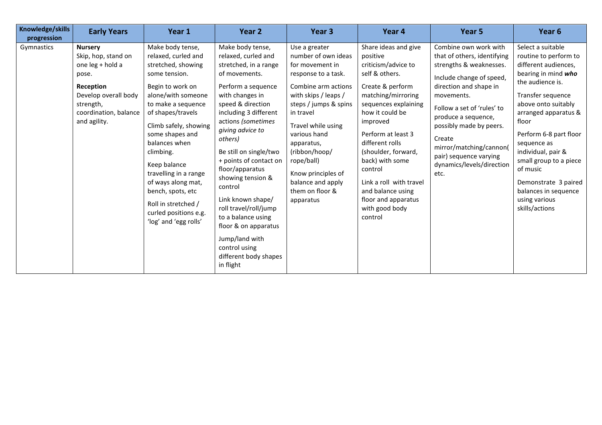| Knowledge/skills<br>progression | <b>Early Years</b>                                                                                                                                            | Year 1                                                                                                                                                                                                                                                                                                                                                                                                     | Year 2                                                                                                                                                                                                                                                                                                                                                                                                                                                                                                    | Year 3                                                                                                                                                                                                                                                                                                                            | Year 4                                                                                                                                                                                                                                                                                                                                                                       | Year 5                                                                                                                                                                                                                                                                                                                                  | Year 6                                                                                                                                                                                                                                                                                                                                                                             |
|---------------------------------|---------------------------------------------------------------------------------------------------------------------------------------------------------------|------------------------------------------------------------------------------------------------------------------------------------------------------------------------------------------------------------------------------------------------------------------------------------------------------------------------------------------------------------------------------------------------------------|-----------------------------------------------------------------------------------------------------------------------------------------------------------------------------------------------------------------------------------------------------------------------------------------------------------------------------------------------------------------------------------------------------------------------------------------------------------------------------------------------------------|-----------------------------------------------------------------------------------------------------------------------------------------------------------------------------------------------------------------------------------------------------------------------------------------------------------------------------------|------------------------------------------------------------------------------------------------------------------------------------------------------------------------------------------------------------------------------------------------------------------------------------------------------------------------------------------------------------------------------|-----------------------------------------------------------------------------------------------------------------------------------------------------------------------------------------------------------------------------------------------------------------------------------------------------------------------------------------|------------------------------------------------------------------------------------------------------------------------------------------------------------------------------------------------------------------------------------------------------------------------------------------------------------------------------------------------------------------------------------|
| Gymnastics                      | <b>Nursery</b><br>Skip, hop, stand on<br>one leg + hold a<br>pose.<br>Reception<br>Develop overall body<br>strength,<br>coordination, balance<br>and agility. | Make body tense,<br>relaxed, curled and<br>stretched, showing<br>some tension.<br>Begin to work on<br>alone/with someone<br>to make a sequence<br>of shapes/travels<br>Climb safely, showing<br>some shapes and<br>balances when<br>climbing.<br>Keep balance<br>travelling in a range<br>of ways along mat,<br>bench, spots, etc<br>Roll in stretched /<br>curled positions e.g.<br>'log' and 'egg rolls' | Make body tense,<br>relaxed, curled and<br>stretched, in a range<br>of movements.<br>Perform a sequence<br>with changes in<br>speed & direction<br>including 3 different<br>actions (sometimes<br>giving advice to<br>others)<br>Be still on single/two<br>+ points of contact on<br>floor/apparatus<br>showing tension &<br>control<br>Link known shape/<br>roll travel/roll/jump<br>to a balance using<br>floor & on apparatus<br>Jump/land with<br>control using<br>different body shapes<br>in flight | Use a greater<br>number of own ideas<br>for movement in<br>response to a task.<br>Combine arm actions<br>with skips / leaps /<br>steps / jumps & spins<br>in travel<br>Travel while using<br>various hand<br>apparatus,<br>(ribbon/hoop/<br>rope/ball)<br>Know principles of<br>balance and apply<br>them on floor &<br>apparatus | Share ideas and give<br>positive<br>criticism/advice to<br>self & others.<br>Create & perform<br>matching/mirroring<br>sequences explaining<br>how it could be<br>improved<br>Perform at least 3<br>different rolls<br>(shoulder, forward,<br>back) with some<br>control<br>Link a roll with travel<br>and balance using<br>floor and apparatus<br>with good body<br>control | Combine own work with<br>that of others, identifying<br>strengths & weaknesses.<br>Include change of speed,<br>direction and shape in<br>movements.<br>Follow a set of 'rules' to<br>produce a sequence,<br>possibly made by peers.<br>Create<br>mirror/matching/cannon(<br>pair) sequence varying<br>dynamics/levels/direction<br>etc. | Select a suitable<br>routine to perform to<br>different audiences,<br>bearing in mind who<br>the audience is.<br>Transfer sequence<br>above onto suitably<br>arranged apparatus &<br>floor<br>Perform 6-8 part floor<br>sequence as<br>individual, pair &<br>small group to a piece<br>of music<br>Demonstrate 3 paired<br>balances in sequence<br>using various<br>skills/actions |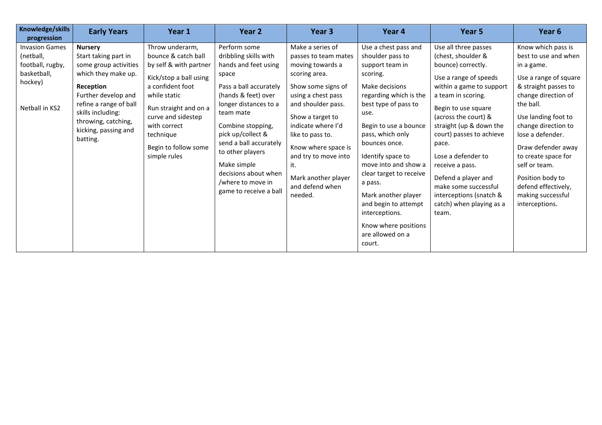| Knowledge/skills<br>progression                                                                    | <b>Early Years</b>                                                                                                                                                                                                                   | Year 1                                                                                                                                                                                                                                             | Year 2                                                                                                                                                                                                                                                                                                                                      | Year 3                                                                                                                                                                                                                                                                                                                   | Year 4                                                                                                                                                                                                                                                                                                                                                                                                                      | Year 5                                                                                                                                                                                                                                                                                                                                                                                                             | Year <sub>6</sub>                                                                                                                                                                                                                                                                                                                                               |
|----------------------------------------------------------------------------------------------------|--------------------------------------------------------------------------------------------------------------------------------------------------------------------------------------------------------------------------------------|----------------------------------------------------------------------------------------------------------------------------------------------------------------------------------------------------------------------------------------------------|---------------------------------------------------------------------------------------------------------------------------------------------------------------------------------------------------------------------------------------------------------------------------------------------------------------------------------------------|--------------------------------------------------------------------------------------------------------------------------------------------------------------------------------------------------------------------------------------------------------------------------------------------------------------------------|-----------------------------------------------------------------------------------------------------------------------------------------------------------------------------------------------------------------------------------------------------------------------------------------------------------------------------------------------------------------------------------------------------------------------------|--------------------------------------------------------------------------------------------------------------------------------------------------------------------------------------------------------------------------------------------------------------------------------------------------------------------------------------------------------------------------------------------------------------------|-----------------------------------------------------------------------------------------------------------------------------------------------------------------------------------------------------------------------------------------------------------------------------------------------------------------------------------------------------------------|
| <b>Invasion Games</b><br>(netball,<br>football, rugby,<br>basketball,<br>hockey)<br>Netball in KS2 | <b>Nursery</b><br>Start taking part in<br>some group activities<br>which they make up.<br>Reception<br>Further develop and<br>refine a range of ball<br>skills including:<br>throwing, catching,<br>kicking, passing and<br>batting. | Throw underarm,<br>bounce & catch ball<br>by self & with partner<br>Kick/stop a ball using<br>a confident foot<br>while static<br>Run straight and on a<br>curve and sidestep<br>with correct<br>technique<br>Begin to follow some<br>simple rules | Perform some<br>dribbling skills with<br>hands and feet using<br>space<br>Pass a ball accurately<br>(hands & feet) over<br>longer distances to a<br>team mate<br>Combine stopping,<br>pick up/collect &<br>send a ball accurately<br>to other players<br>Make simple<br>decisions about when<br>/where to move in<br>game to receive a ball | Make a series of<br>passes to team mates<br>moving towards a<br>scoring area.<br>Show some signs of<br>using a chest pass<br>and shoulder pass.<br>Show a target to<br>indicate where I'd<br>like to pass to.<br>Know where space is<br>and try to move into<br>it.<br>Mark another player<br>and defend when<br>needed. | Use a chest pass and<br>shoulder pass to<br>support team in<br>scoring.<br>Make decisions<br>regarding which is the<br>best type of pass to<br>use.<br>Begin to use a bounce<br>pass, which only<br>bounces once.<br>Identify space to<br>move into and show a<br>clear target to receive<br>a pass.<br>Mark another player<br>and begin to attempt<br>interceptions.<br>Know where positions<br>are allowed on a<br>court. | Use all three passes<br>(chest, shoulder &<br>bounce) correctly.<br>Use a range of speeds<br>within a game to support<br>a team in scoring.<br>Begin to use square<br>(across the court) &<br>straight (up & down the<br>court) passes to achieve<br>pace.<br>Lose a defender to<br>receive a pass.<br>Defend a player and<br>make some successful<br>interceptions (snatch &<br>catch) when playing as a<br>team. | Know which pass is<br>best to use and when<br>in a game.<br>Use a range of square<br>& straight passes to<br>change direction of<br>the ball.<br>Use landing foot to<br>change direction to<br>lose a defender.<br>Draw defender away<br>to create space for<br>self or team.<br>Position body to<br>defend effectively,<br>making successful<br>interceptions. |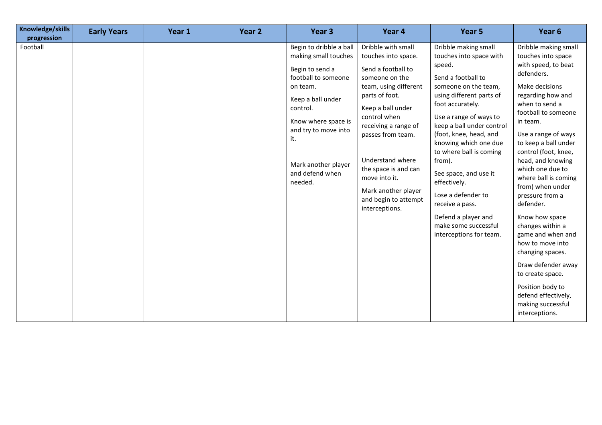| Knowledge/skills<br>progression | <b>Early Years</b> | Year 1 | Year 2 | Year <sub>3</sub>                                                                                                                                                                                                                                 | Year 4                                                                                                                                                                                                                                                                                                                                       | Year 5                                                                                                                                                                                                                                                                                                                                                                                                                                                             | Year 6                                                                                                                                                                                                                                                                                                                                                                                                                                                                                                                                                                                                 |
|---------------------------------|--------------------|--------|--------|---------------------------------------------------------------------------------------------------------------------------------------------------------------------------------------------------------------------------------------------------|----------------------------------------------------------------------------------------------------------------------------------------------------------------------------------------------------------------------------------------------------------------------------------------------------------------------------------------------|--------------------------------------------------------------------------------------------------------------------------------------------------------------------------------------------------------------------------------------------------------------------------------------------------------------------------------------------------------------------------------------------------------------------------------------------------------------------|--------------------------------------------------------------------------------------------------------------------------------------------------------------------------------------------------------------------------------------------------------------------------------------------------------------------------------------------------------------------------------------------------------------------------------------------------------------------------------------------------------------------------------------------------------------------------------------------------------|
| Football                        |                    |        |        | Begin to dribble a ball<br>making small touches<br>Begin to send a<br>football to someone<br>on team.<br>Keep a ball under<br>control.<br>Know where space is<br>and try to move into<br>it.<br>Mark another player<br>and defend when<br>needed. | Dribble with small<br>touches into space.<br>Send a football to<br>someone on the<br>team, using different<br>parts of foot.<br>Keep a ball under<br>control when<br>receiving a range of<br>passes from team.<br>Understand where<br>the space is and can<br>move into it.<br>Mark another player<br>and begin to attempt<br>interceptions. | Dribble making small<br>touches into space with<br>speed.<br>Send a football to<br>someone on the team,<br>using different parts of<br>foot accurately.<br>Use a range of ways to<br>keep a ball under control<br>(foot, knee, head, and<br>knowing which one due<br>to where ball is coming<br>from).<br>See space, and use it<br>effectively.<br>Lose a defender to<br>receive a pass.<br>Defend a player and<br>make some successful<br>interceptions for team. | Dribble making small<br>touches into space<br>with speed, to beat<br>defenders.<br>Make decisions<br>regarding how and<br>when to send a<br>football to someone<br>in team.<br>Use a range of ways<br>to keep a ball under<br>control (foot, knee,<br>head, and knowing<br>which one due to<br>where ball is coming<br>from) when under<br>pressure from a<br>defender.<br>Know how space<br>changes within a<br>game and when and<br>how to move into<br>changing spaces.<br>Draw defender away<br>to create space.<br>Position body to<br>defend effectively,<br>making successful<br>interceptions. |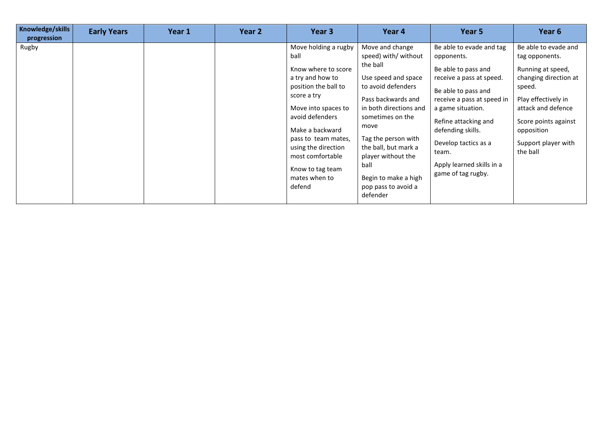| Knowledge/skills<br>progression | <b>Early Years</b> | Year 1 | Year 2 | Year 3                                                                                                                                                                                                                                                                                       | Year 4                                                                                                                                                                                                                                                                                                               | Year 5                                                                                                                                                                                                                                                                                               | Year <sub>6</sub>                                                                                                                                                                                                    |
|---------------------------------|--------------------|--------|--------|----------------------------------------------------------------------------------------------------------------------------------------------------------------------------------------------------------------------------------------------------------------------------------------------|----------------------------------------------------------------------------------------------------------------------------------------------------------------------------------------------------------------------------------------------------------------------------------------------------------------------|------------------------------------------------------------------------------------------------------------------------------------------------------------------------------------------------------------------------------------------------------------------------------------------------------|----------------------------------------------------------------------------------------------------------------------------------------------------------------------------------------------------------------------|
| Rugby                           |                    |        |        | Move holding a rugby<br>ball<br>Know where to score<br>a try and how to<br>position the ball to<br>score a try<br>Move into spaces to<br>avoid defenders<br>Make a backward<br>pass to team mates,<br>using the direction<br>most comfortable<br>Know to tag team<br>mates when to<br>defend | Move and change<br>speed) with/ without<br>the ball<br>Use speed and space<br>to avoid defenders<br>Pass backwards and<br>in both directions and<br>sometimes on the<br>move<br>Tag the person with<br>the ball, but mark a<br>player without the<br>ball<br>Begin to make a high<br>pop pass to avoid a<br>defender | Be able to evade and tag<br>opponents.<br>Be able to pass and<br>receive a pass at speed.<br>Be able to pass and<br>receive a pass at speed in<br>a game situation.<br>Refine attacking and<br>defending skills.<br>Develop tactics as a<br>team.<br>Apply learned skills in a<br>game of tag rugby. | Be able to evade and<br>tag opponents.<br>Running at speed,<br>changing direction at<br>speed.<br>Play effectively in<br>attack and defence<br>Score points against<br>opposition<br>Support player with<br>the ball |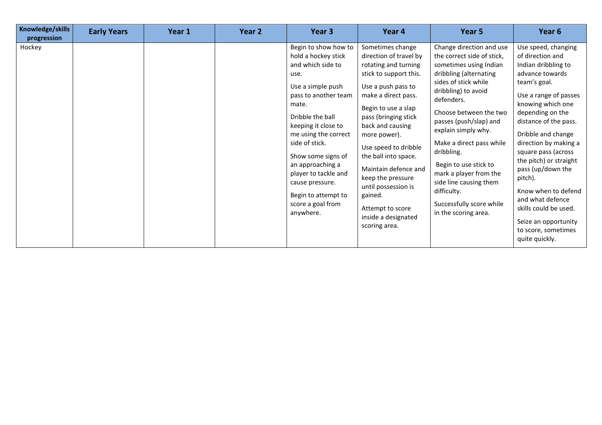| Knowledge/skills<br>progression | <b>Early Years</b> | Year 1 | Year 2 | Year 3                                                                                                                                                                                                                                                                                                                                                            | Year 4                                                                                                                                                                                                                                                                                                                                                                                                                  | Year 5                                                                                                                                                                                                                                                                                                                                                                                                                                       | Year 6                                                                                                                                                                                                                                                                                                                                                                                                                                                            |
|---------------------------------|--------------------|--------|--------|-------------------------------------------------------------------------------------------------------------------------------------------------------------------------------------------------------------------------------------------------------------------------------------------------------------------------------------------------------------------|-------------------------------------------------------------------------------------------------------------------------------------------------------------------------------------------------------------------------------------------------------------------------------------------------------------------------------------------------------------------------------------------------------------------------|----------------------------------------------------------------------------------------------------------------------------------------------------------------------------------------------------------------------------------------------------------------------------------------------------------------------------------------------------------------------------------------------------------------------------------------------|-------------------------------------------------------------------------------------------------------------------------------------------------------------------------------------------------------------------------------------------------------------------------------------------------------------------------------------------------------------------------------------------------------------------------------------------------------------------|
| Hockey                          |                    |        |        | Begin to show how to<br>hold a hockey stick<br>and which side to<br>use.<br>Use a simple push<br>pass to another team<br>mate.<br>Dribble the ball<br>keeping it close to<br>me using the correct<br>side of stick.<br>Show some signs of<br>an approaching a<br>player to tackle and<br>cause pressure.<br>Begin to attempt to<br>score a goal from<br>anywhere. | Sometimes change<br>direction of travel by<br>rotating and turning<br>stick to support this.<br>Use a push pass to<br>make a direct pass.<br>Begin to use a slap<br>pass (bringing stick<br>back and causing<br>more power).<br>Use speed to dribble<br>the ball into space.<br>Maintain defence and<br>keep the pressure<br>until possession is<br>gained.<br>Attempt to score<br>inside a designated<br>scoring area. | Change direction and use<br>the correct side of stick,<br>sometimes using Indian<br>dribbling (alternating<br>sides of stick while<br>dribbling) to avoid<br>defenders.<br>Choose between the two<br>passes (push/slap) and<br>explain simply why.<br>Make a direct pass while<br>dribbling.<br>Begin to use stick to<br>mark a player from the<br>side line causing them<br>difficulty.<br>Successfully score while<br>in the scoring area. | Use speed, changing<br>of direction and<br>Indian dribbling to<br>advance towards<br>team's goal.<br>Use a range of passes<br>knowing which one<br>depending on the<br>distance of the pass.<br>Dribble and change<br>direction by making a<br>square pass (across<br>the pitch) or straight<br>pass (up/down the<br>pitch).<br>Know when to defend<br>and what defence<br>skills could be used.<br>Seize an opportunity<br>to score, sometimes<br>quite quickly. |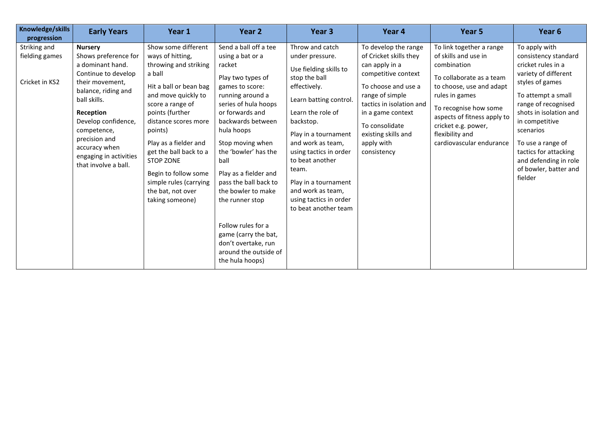| Knowledge/skills<br>progression                  | <b>Early Years</b>                                                                                                                                                                                                                                                                 | Year 1                                                                                                                                                                                                                                                                                                                                                                 | Year 2                                                                                                                                                                                                                                                                                                                                                                                                                                                        | Year 3                                                                                                                                                                                                                                                                                                                                                      | Year 4                                                                                                                                                                                                                                                   | Year 5                                                                                                                                                                                                                                                                  | Year 6                                                                                                                                                                                                                                                                                                                  |
|--------------------------------------------------|------------------------------------------------------------------------------------------------------------------------------------------------------------------------------------------------------------------------------------------------------------------------------------|------------------------------------------------------------------------------------------------------------------------------------------------------------------------------------------------------------------------------------------------------------------------------------------------------------------------------------------------------------------------|---------------------------------------------------------------------------------------------------------------------------------------------------------------------------------------------------------------------------------------------------------------------------------------------------------------------------------------------------------------------------------------------------------------------------------------------------------------|-------------------------------------------------------------------------------------------------------------------------------------------------------------------------------------------------------------------------------------------------------------------------------------------------------------------------------------------------------------|----------------------------------------------------------------------------------------------------------------------------------------------------------------------------------------------------------------------------------------------------------|-------------------------------------------------------------------------------------------------------------------------------------------------------------------------------------------------------------------------------------------------------------------------|-------------------------------------------------------------------------------------------------------------------------------------------------------------------------------------------------------------------------------------------------------------------------------------------------------------------------|
| Striking and<br>fielding games<br>Cricket in KS2 | <b>Nursery</b><br>Shows preference for<br>a dominant hand.<br>Continue to develop<br>their movement,<br>balance, riding and<br>ball skills.<br>Reception<br>Develop confidence,<br>competence,<br>precision and<br>accuracy when<br>engaging in activities<br>that involve a ball. | Show some different<br>ways of hitting,<br>throwing and striking<br>a ball<br>Hit a ball or bean bag<br>and move quickly to<br>score a range of<br>points (further<br>distance scores more<br>points)<br>Play as a fielder and<br>get the ball back to a<br><b>STOP ZONE</b><br>Begin to follow some<br>simple rules (carrying<br>the bat, not over<br>taking someone) | Send a ball off a tee<br>using a bat or a<br>racket<br>Play two types of<br>games to score:<br>running around a<br>series of hula hoops<br>or forwards and<br>backwards between<br>hula hoops<br>Stop moving when<br>the 'bowler' has the<br>ball<br>Play as a fielder and<br>pass the ball back to<br>the bowler to make<br>the runner stop<br>Follow rules for a<br>game (carry the bat,<br>don't overtake, run<br>around the outside of<br>the hula hoops) | Throw and catch<br>under pressure.<br>Use fielding skills to<br>stop the ball<br>effectively.<br>Learn batting control.<br>Learn the role of<br>backstop.<br>Play in a tournament<br>and work as team,<br>using tactics in order<br>to beat another<br>team.<br>Play in a tournament<br>and work as team,<br>using tactics in order<br>to beat another team | To develop the range<br>of Cricket skills they<br>can apply in a<br>competitive context<br>To choose and use a<br>range of simple<br>tactics in isolation and<br>in a game context<br>To consolidate<br>existing skills and<br>apply with<br>consistency | To link together a range<br>of skills and use in<br>combination<br>To collaborate as a team<br>to choose, use and adapt<br>rules in games<br>To recognise how some<br>aspects of fitness apply to<br>cricket e.g. power,<br>flexibility and<br>cardiovascular endurance | To apply with<br>consistency standard<br>cricket rules in a<br>variety of different<br>styles of games<br>To attempt a small<br>range of recognised<br>shots in isolation and<br>in competitive<br>scenarios<br>To use a range of<br>tactics for attacking<br>and defending in role<br>of bowler, batter and<br>fielder |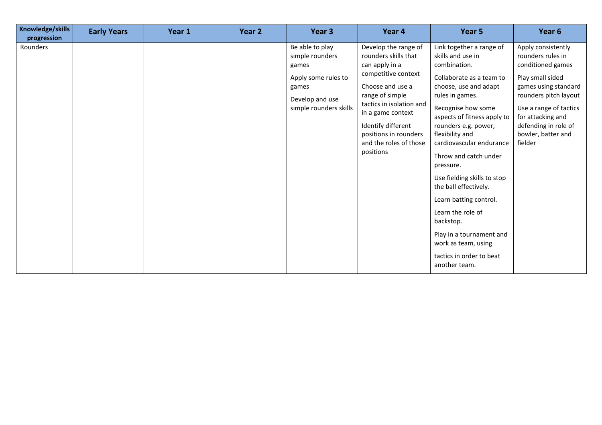| Knowledge/skills<br>progression | <b>Early Years</b> | Year 1 | Year 2 | Year <sub>3</sub>                                                                                                        | Year 4                                                                                                                                                                                                                                                              | Year <sub>5</sub>                                                                                                                                                                                                                                                                                                                                                                                                                                                                                                           | Year 6                                                                                                                                                                                                                                    |
|---------------------------------|--------------------|--------|--------|--------------------------------------------------------------------------------------------------------------------------|---------------------------------------------------------------------------------------------------------------------------------------------------------------------------------------------------------------------------------------------------------------------|-----------------------------------------------------------------------------------------------------------------------------------------------------------------------------------------------------------------------------------------------------------------------------------------------------------------------------------------------------------------------------------------------------------------------------------------------------------------------------------------------------------------------------|-------------------------------------------------------------------------------------------------------------------------------------------------------------------------------------------------------------------------------------------|
| Rounders                        |                    |        |        | Be able to play<br>simple rounders<br>games<br>Apply some rules to<br>games<br>Develop and use<br>simple rounders skills | Develop the range of<br>rounders skills that<br>can apply in a<br>competitive context<br>Choose and use a<br>range of simple<br>tactics in isolation and<br>in a game context<br>Identify different<br>positions in rounders<br>and the roles of those<br>positions | Link together a range of<br>skills and use in<br>combination.<br>Collaborate as a team to<br>choose, use and adapt<br>rules in games.<br>Recognise how some<br>aspects of fitness apply to<br>rounders e.g. power,<br>flexibility and<br>cardiovascular endurance<br>Throw and catch under<br>pressure.<br>Use fielding skills to stop<br>the ball effectively.<br>Learn batting control.<br>Learn the role of<br>backstop.<br>Play in a tournament and<br>work as team, using<br>tactics in order to beat<br>another team. | Apply consistently<br>rounders rules in<br>conditioned games<br>Play small sided<br>games using standard<br>rounders pitch layout<br>Use a range of tactics<br>for attacking and<br>defending in role of<br>bowler, batter and<br>fielder |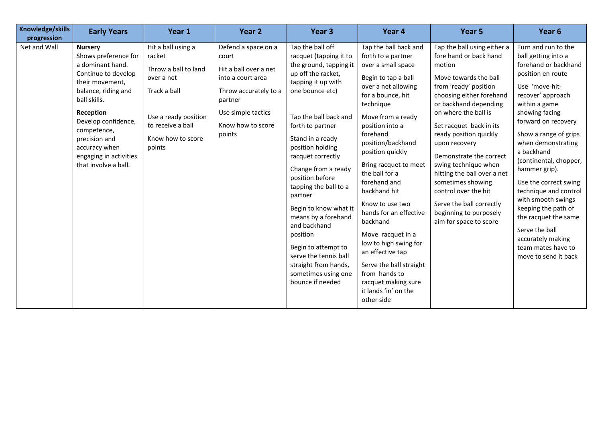| Knowledge/skills<br>progression | <b>Early Years</b>                                                                                                                                                                                                                                                                 | Year 1                                                                                                                                                         | Year 2                                                                                                                                                              | Year <sub>3</sub>                                                                                                                                                                                                                                                                                                                                                                                                                                                                                                          | Year 4                                                                                                                                                                                                                                                                                                                                                                                                                                                                                                                                                        | Year 5                                                                                                                                                                                                                                                                                                                                                                                                                                                                              | Year <sub>6</sub>                                                                                                                                                                                                                                                                                                                                                                                                                                                                                            |
|---------------------------------|------------------------------------------------------------------------------------------------------------------------------------------------------------------------------------------------------------------------------------------------------------------------------------|----------------------------------------------------------------------------------------------------------------------------------------------------------------|---------------------------------------------------------------------------------------------------------------------------------------------------------------------|----------------------------------------------------------------------------------------------------------------------------------------------------------------------------------------------------------------------------------------------------------------------------------------------------------------------------------------------------------------------------------------------------------------------------------------------------------------------------------------------------------------------------|---------------------------------------------------------------------------------------------------------------------------------------------------------------------------------------------------------------------------------------------------------------------------------------------------------------------------------------------------------------------------------------------------------------------------------------------------------------------------------------------------------------------------------------------------------------|-------------------------------------------------------------------------------------------------------------------------------------------------------------------------------------------------------------------------------------------------------------------------------------------------------------------------------------------------------------------------------------------------------------------------------------------------------------------------------------|--------------------------------------------------------------------------------------------------------------------------------------------------------------------------------------------------------------------------------------------------------------------------------------------------------------------------------------------------------------------------------------------------------------------------------------------------------------------------------------------------------------|
| Net and Wall                    | <b>Nursery</b><br>Shows preference for<br>a dominant hand.<br>Continue to develop<br>their movement,<br>balance, riding and<br>ball skills.<br>Reception<br>Develop confidence,<br>competence,<br>precision and<br>accuracy when<br>engaging in activities<br>that involve a ball. | Hit a ball using a<br>racket<br>Throw a ball to land<br>over a net<br>Track a ball<br>Use a ready position<br>to receive a ball<br>Know how to score<br>points | Defend a space on a<br>court<br>Hit a ball over a net<br>into a court area<br>Throw accurately to a<br>partner<br>Use simple tactics<br>Know how to score<br>points | Tap the ball off<br>racquet (tapping it to<br>the ground, tapping it<br>up off the racket,<br>tapping it up with<br>one bounce etc)<br>Tap the ball back and<br>forth to partner<br>Stand in a ready<br>position holding<br>racquet correctly<br>Change from a ready<br>position before<br>tapping the ball to a<br>partner<br>Begin to know what it<br>means by a forehand<br>and backhand<br>position<br>Begin to attempt to<br>serve the tennis ball<br>straight from hands,<br>sometimes using one<br>bounce if needed | Tap the ball back and<br>forth to a partner<br>over a small space<br>Begin to tap a ball<br>over a net allowing<br>for a bounce, hit<br>technique<br>Move from a ready<br>position into a<br>forehand<br>position/backhand<br>position quickly<br>Bring racquet to meet<br>the ball for a<br>forehand and<br>backhand hit<br>Know to use two<br>hands for an effective<br>backhand<br>Move racquet in a<br>low to high swing for<br>an effective tap<br>Serve the ball straight<br>from hands to<br>racquet making sure<br>it lands 'in' on the<br>other side | Tap the ball using either a<br>fore hand or back hand<br>motion<br>Move towards the ball<br>from 'ready' position<br>choosing either forehand<br>or backhand depending<br>on where the ball is<br>Set racquet back in its<br>ready position quickly<br>upon recovery<br>Demonstrate the correct<br>swing technique when<br>hitting the ball over a net<br>sometimes showing<br>control over the hit<br>Serve the ball correctly<br>beginning to purposely<br>aim for space to score | Turn and run to the<br>ball getting into a<br>forehand or backhand<br>position en route<br>Use 'move-hit-<br>recover' approach<br>within a game<br>showing facing<br>forward on recovery<br>Show a range of grips<br>when demonstrating<br>a backhand<br>(continental, chopper,<br>hammer grip).<br>Use the correct swing<br>technique and control<br>with smooth swings<br>keeping the path of<br>the racquet the same<br>Serve the ball<br>accurately making<br>team mates have to<br>move to send it back |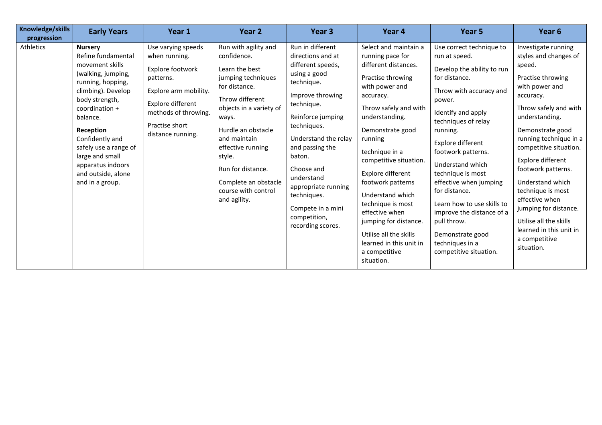| Knowledge/skills<br>progression | <b>Early Years</b>                                                                                                                                                                                                                                                                                                 | Year 1                                                                                                                                                                            | Year 2                                                                                                                                                                                                                                                                                                       | Year <sub>3</sub>                                                                                                                                                                                                                                                                                                                               | Year 4                                                                                                                                                                                                                                                                                                                                                                                                                                                        | Year 5                                                                                                                                                                                                                                                                                                                                                                                                                                                           | Year 6                                                                                                                                                                                                                                                                                                                                                                                                                                           |
|---------------------------------|--------------------------------------------------------------------------------------------------------------------------------------------------------------------------------------------------------------------------------------------------------------------------------------------------------------------|-----------------------------------------------------------------------------------------------------------------------------------------------------------------------------------|--------------------------------------------------------------------------------------------------------------------------------------------------------------------------------------------------------------------------------------------------------------------------------------------------------------|-------------------------------------------------------------------------------------------------------------------------------------------------------------------------------------------------------------------------------------------------------------------------------------------------------------------------------------------------|---------------------------------------------------------------------------------------------------------------------------------------------------------------------------------------------------------------------------------------------------------------------------------------------------------------------------------------------------------------------------------------------------------------------------------------------------------------|------------------------------------------------------------------------------------------------------------------------------------------------------------------------------------------------------------------------------------------------------------------------------------------------------------------------------------------------------------------------------------------------------------------------------------------------------------------|--------------------------------------------------------------------------------------------------------------------------------------------------------------------------------------------------------------------------------------------------------------------------------------------------------------------------------------------------------------------------------------------------------------------------------------------------|
| <b>Athletics</b>                | <b>Nursery</b><br>Refine fundamental<br>movement skills<br>(walking, jumping,<br>running, hopping,<br>climbing). Develop<br>body strength,<br>coordination +<br>balance.<br>Reception<br>Confidently and<br>safely use a range of<br>large and small<br>apparatus indoors<br>and outside, alone<br>and in a group. | Use varying speeds<br>when running.<br>Explore footwork<br>patterns.<br>Explore arm mobility.<br>Explore different<br>methods of throwing.<br>Practise short<br>distance running. | Run with agility and<br>confidence.<br>Learn the best<br>jumping techniques<br>for distance.<br>Throw different<br>objects in a variety of<br>ways.<br>Hurdle an obstacle<br>and maintain<br>effective running<br>style.<br>Run for distance.<br>Complete an obstacle<br>course with control<br>and agility. | Run in different<br>directions and at<br>different speeds,<br>using a good<br>technique.<br>Improve throwing<br>technique.<br>Reinforce jumping<br>techniques.<br>Understand the relay<br>and passing the<br>baton.<br>Choose and<br>understand<br>appropriate running<br>techniques.<br>Compete in a mini<br>competition,<br>recording scores. | Select and maintain a<br>running pace for<br>different distances.<br>Practise throwing<br>with power and<br>accuracy.<br>Throw safely and with<br>understanding.<br>Demonstrate good<br>running<br>technique in a<br>competitive situation.<br>Explore different<br>footwork patterns<br>Understand which<br>technique is most<br>effective when<br>jumping for distance.<br>Utilise all the skills<br>learned in this unit in<br>a competitive<br>situation. | Use correct technique to<br>run at speed.<br>Develop the ability to run<br>for distance.<br>Throw with accuracy and<br>power.<br>Identify and apply<br>techniques of relay<br>running.<br>Explore different<br>footwork patterns.<br>Understand which<br>technique is most<br>effective when jumping<br>for distance.<br>Learn how to use skills to<br>improve the distance of a<br>pull throw.<br>Demonstrate good<br>techniques in a<br>competitive situation. | Investigate running<br>styles and changes of<br>speed.<br>Practise throwing<br>with power and<br>accuracy.<br>Throw safely and with<br>understanding.<br>Demonstrate good<br>running technique in a<br>competitive situation.<br>Explore different<br>footwork patterns.<br>Understand which<br>technique is most<br>effective when<br>jumping for distance.<br>Utilise all the skills<br>learned in this unit in<br>a competitive<br>situation. |